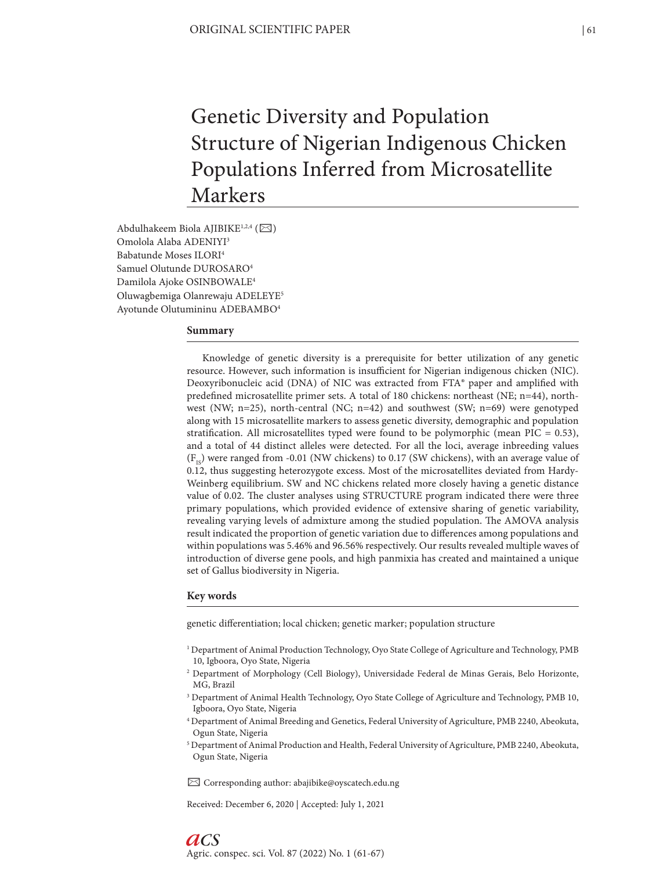# Genetic Diversity and Population Structure of Nigerian Indigenous Chicken Populations Inferred from Microsatellite Markers

Abdulhakeem Biola AJIBIKE<sup>1,2,4</sup> ( $\boxtimes$ ) Omolola Alaba ADENIYI3 Babatunde Moses ILORI4 Samuel Olutunde DUROSARO4 Damilola Ajoke OSINBOWALE4 Oluwagbemiga Olanrewaju ADELEYE5 Ayotunde Olutumininu ADEBAMBO4

#### **Summary**

Knowledge of genetic diversity is a prerequisite for better utilization of any genetic resource. However, such information is insufficient for Nigerian indigenous chicken (NIC). Deoxyribonucleic acid (DNA) of NIC was extracted from FTA® paper and amplified with predefined microsatellite primer sets. A total of 180 chickens: northeast (NE; n=44), northwest (NW; n=25), north-central (NC; n=42) and southwest (SW; n=69) were genotyped along with 15 microsatellite markers to assess genetic diversity, demographic and population stratification. All microsatellites typed were found to be polymorphic (mean PIC =  $0.53$ ), and a total of 44 distinct alleles were detected. For all the loci, average inbreeding values  $(F_{1s})$  were ranged from -0.01 (NW chickens) to 0.17 (SW chickens), with an average value of 0.12, thus suggesting heterozygote excess. Most of the microsatellites deviated from Hardy-Weinberg equilibrium. SW and NC chickens related more closely having a genetic distance value of 0.02. The cluster analyses using STRUCTURE program indicated there were three primary populations, which provided evidence of extensive sharing of genetic variability, revealing varying levels of admixture among the studied population. The AMOVA analysis result indicated the proportion of genetic variation due to differences among populations and within populations was 5.46% and 96.56% respectively. Our results revealed multiple waves of introduction of diverse gene pools, and high panmixia has created and maintained a unique set of Gallus biodiversity in Nigeria.

#### **Key words**

*aCS*

genetic differentiation; local chicken; genetic marker; population structure

- 1 Department of Animal Production Technology, Oyo State College of Agriculture and Technology, PMB 10, Igboora, Oyo State, Nigeria
- 2 Department of Morphology (Cell Biology), Universidade Federal de Minas Gerais, Belo Horizonte, MG, Brazil
- <sup>3</sup> Department of Animal Health Technology, Oyo State College of Agriculture and Technology, PMB 10, Igboora, Oyo State, Nigeria
- 4 Department of Animal Breeding and Genetics, Federal University of Agriculture, PMB 2240, Abeokuta, Ogun State, Nigeria
- 5 Department of Animal Production and Health, Federal University of Agriculture, PMB 2240, Abeokuta, Ogun State, Nigeria

✉ Corresponding author: abajibike@oyscatech.edu.ng

Received: December 6, 2020 | Accepted: July 1, 2021

Agric. conspec. sci. Vol. 87 (2022) No. 1 (61-67)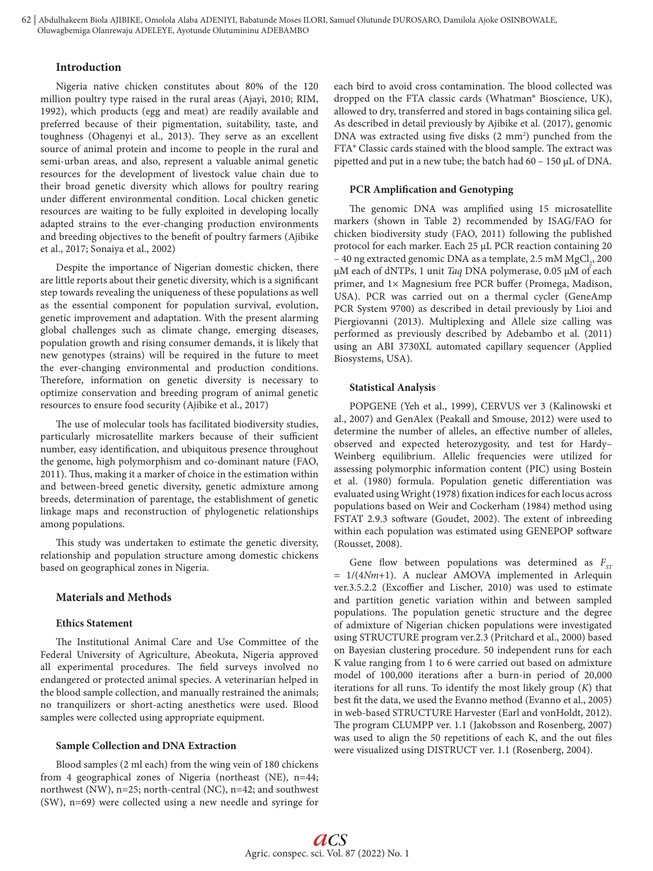# **Introduction**

Nigeria native chicken constitutes about 80% of the 120 million poultry type raised in the rural areas (Ajayi, 2010; RIM, 1992), which products (egg and meat) are readily available and preferred because of their pigmentation, suitability, taste, and toughness (Ohagenyi et al., 2013). They serve as an excellent source of animal protein and income to people in the rural and semi-urban areas, and also, represent a valuable animal genetic resources for the development of livestock value chain due to their broad genetic diversity which allows for poultry rearing under different environmental condition. Local chicken genetic resources are waiting to be fully exploited in developing locally adapted strains to the ever-changing production environments and breeding objectives to the benefit of poultry farmers (Ajibike et al., 2017; Sonaiya et al., 2002)

Despite the importance of Nigerian domestic chicken, there are little reports about their genetic diversity, which is a significant step towards revealing the uniqueness of these populations as well as the essential component for population survival, evolution, genetic improvement and adaptation. With the present alarming global challenges such as climate change, emerging diseases, population growth and rising consumer demands, it is likely that new genotypes (strains) will be required in the future to meet the ever-changing environmental and production conditions. Therefore, information on genetic diversity is necessary to optimize conservation and breeding program of animal genetic resources to ensure food security (Ajibike et al., 2017)

The use of molecular tools has facilitated biodiversity studies, particularly microsatellite markers because of their sufficient number, easy identification, and ubiquitous presence throughout the genome, high polymorphism and co-dominant nature (FAO, 2011). Thus, making it a marker of choice in the estimation within and between-breed genetic diversity, genetic admixture among breeds, determination of parentage, the establishment of genetic linkage maps and reconstruction of phylogenetic relationships among populations.

This study was undertaken to estimate the genetic diversity, relationship and population structure among domestic chickens based on geographical zones in Nigeria.

# **Materials and Methods**

## **Ethics Statement**

The Institutional Animal Care and Use Committee of the Federal University of Agriculture, Abeokuta, Nigeria approved all experimental procedures. The field surveys involved no endangered or protected animal species. A veterinarian helped in the blood sample collection, and manually restrained the animals; no tranquilizers or short-acting anesthetics were used. Blood samples were collected using appropriate equipment.

# **Sample Collection and DNA Extraction**

Blood samples (2 ml each) from the wing vein of 180 chickens from 4 geographical zones of Nigeria (northeast (NE), n=44; northwest (NW), n=25; north-central (NC), n=42; and southwest (SW), n=69) were collected using a new needle and syringe for each bird to avoid cross contamination. The blood collected was dropped on the FTA classic cards (Whatman® Bioscience, UK), allowed to dry, transferred and stored in bags containing silica gel. As described in detail previously by Ajibike et al. (2017), genomic DNA was extracted using five disks (2 mm<sup>2</sup>) punched from the FTA® Classic cards stained with the blood sample. The extract was pipetted and put in a new tube; the batch had 60 – 150 µL of DNA.

# **PCR Amplification and Genotyping**

The genomic DNA was amplified using 15 microsatellite markers (shown in Table 2) recommended by ISAG/FAO for chicken biodiversity study (FAO, 2011) following the published protocol for each marker. Each 25 µL PCR reaction containing 20 – 40 ng extracted genomic DNA as a template, 2.5 mM  $MgCl<sub>2</sub>$ , 200 µM each of dNTPs, 1 unit *Taq* DNA polymerase, 0.05 µM of each primer, and 1× Magnesium free PCR buffer (Promega, Madison, USA). PCR was carried out on a thermal cycler (GeneAmp PCR System 9700) as described in detail previously by Lioi and Piergiovanni (2013). Multiplexing and Allele size calling was performed as previously described by Adebambo et al. (2011) using an ABI 3730XL automated capillary sequencer (Applied Biosystems, USA).

# **Statistical Analysis**

POPGENE (Yeh et al., 1999), CERVUS ver 3 (Kalinowski et al., 2007) and GenAlex (Peakall and Smouse, 2012) were used to determine the number of alleles, an effective number of alleles, observed and expected heterozygosity, and test for Hardy– Weinberg equilibrium. Allelic frequencies were utilized for assessing polymorphic information content (PIC) using Bostein et al. (1980) formula. Population genetic differentiation was evaluated using Wright (1978) fixation indices for each locus across populations based on Weir and Cockerham (1984) method using FSTAT 2.9.3 software (Goudet, 2002). The extent of inbreeding within each population was estimated using GENEPOP software (Rousset, 2008).

Gene flow between populations was determined as  $F_{ST}$ = 1/(4*Nm*+1). A nuclear AMOVA implemented in Arlequin ver.3.5.2.2 (Excoffier and Lischer, 2010) was used to estimate and partition genetic variation within and between sampled populations. The population genetic structure and the degree of admixture of Nigerian chicken populations were investigated using STRUCTURE program ver.2.3 (Pritchard et al., 2000) based on Bayesian clustering procedure. 50 independent runs for each K value ranging from 1 to 6 were carried out based on admixture model of 100,000 iterations after a burn-in period of 20,000 iterations for all runs. To identify the most likely group (*K*) that best fit the data, we used the Evanno method (Evanno et al., 2005) in web-based STRUCTURE Harvester (Earl and vonHoldt, 2012). The program CLUMPP ver. 1.1 (Jakobsson and Rosenberg, 2007) was used to align the 50 repetitions of each K, and the out files were visualized using DISTRUCT ver. 1.1 (Rosenberg, 2004).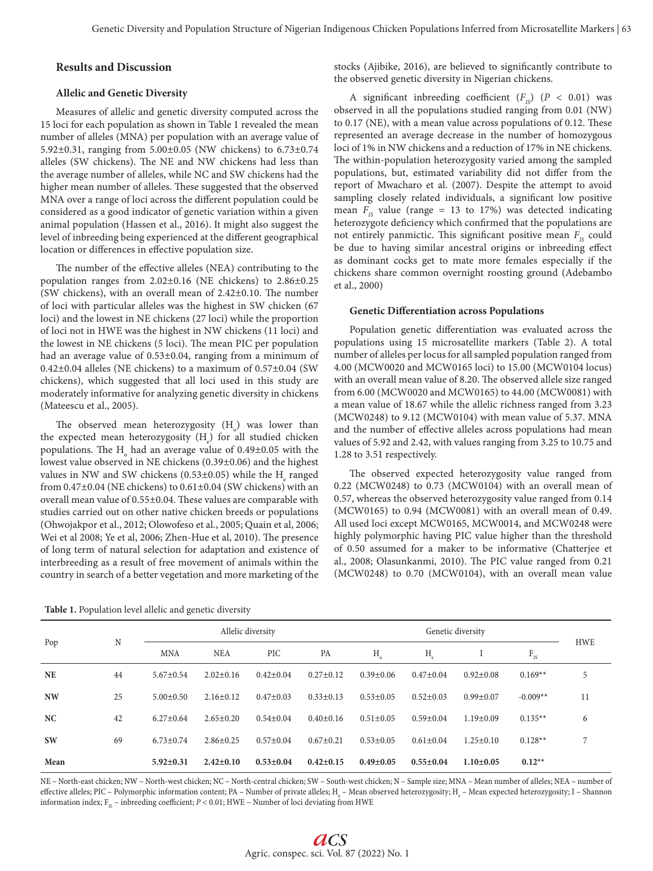## **Results and Discussion**

## **Allelic and Genetic Diversity**

Measures of allelic and genetic diversity computed across the 15 loci for each population as shown in Table 1 revealed the mean number of alleles (MNA) per population with an average value of 5.92±0.31, ranging from 5.00±0.05 (NW chickens) to 6.73±0.74 alleles (SW chickens). The NE and NW chickens had less than the average number of alleles, while NC and SW chickens had the higher mean number of alleles. These suggested that the observed MNA over a range of loci across the different population could be considered as a good indicator of genetic variation within a given animal population (Hassen et al., 2016). It might also suggest the level of inbreeding being experienced at the different geographical location or differences in effective population size.

The number of the effective alleles (NEA) contributing to the population ranges from 2.02±0.16 (NE chickens) to 2.86±0.25 (SW chickens), with an overall mean of 2.42±0.10. The number of loci with particular alleles was the highest in SW chicken (67 loci) and the lowest in NE chickens (27 loci) while the proportion of loci not in HWE was the highest in NW chickens (11 loci) and the lowest in NE chickens (5 loci). The mean PIC per population had an average value of 0.53±0.04, ranging from a minimum of  $0.42\pm0.04$  alleles (NE chickens) to a maximum of  $0.57\pm0.04$  (SW chickens), which suggested that all loci used in this study are moderately informative for analyzing genetic diversity in chickens (Mateescu et al., 2005).

The observed mean heterozygosity  $(H_0)$  was lower than the expected mean heterozygosity (H<sub>e</sub>) for all studied chicken populations. The  $\text{H}_{\circ}$  had an average value of 0.49±0.05 with the lowest value observed in NE chickens (0.39±0.06) and the highest values in NW and SW chickens (0.53±0.05) while the  $\mathrm{H}_\mathrm{e}$  ranged from 0.47±0.04 (NE chickens) to 0.61±0.04 (SW chickens) with an overall mean value of 0.55±0.04. These values are comparable with studies carried out on other native chicken breeds or populations (Ohwojakpor et al., 2012; Olowofeso et al., 2005; Quain et al, 2006; Wei et al 2008; Ye et al, 2006; Zhen-Hue et al, 2010). The presence of long term of natural selection for adaptation and existence of interbreeding as a result of free movement of animals within the country in search of a better vegetation and more marketing of the

**Table 1.** Population level allelic and genetic diversity

stocks (Ajibike, 2016), are believed to significantly contribute to the observed genetic diversity in Nigerian chickens.

A significant inbreeding coefficient  $(F_{1S})$   $(P < 0.01)$  was observed in all the populations studied ranging from 0.01 (NW) to 0.17 (NE), with a mean value across populations of 0.12. These represented an average decrease in the number of homozygous loci of 1% in NW chickens and a reduction of 17% in NE chickens. The within-population heterozygosity varied among the sampled populations, but, estimated variability did not differ from the report of Mwacharo et al. (2007). Despite the attempt to avoid sampling closely related individuals, a significant low positive mean  $F<sub>1s</sub>$  value (range = 13 to 17%) was detected indicating heterozygote deficiency which confirmed that the populations are not entirely panmictic. This significant positive mean  $F_{IS}$  could be due to having similar ancestral origins or inbreeding effect as dominant cocks get to mate more females especially if the chickens share common overnight roosting ground (Adebambo et al., 2000)

#### **Genetic Differentiation across Populations**

Population genetic differentiation was evaluated across the populations using 15 microsatellite markers (Table 2). A total number of alleles per locus for all sampled population ranged from 4.00 (MCW0020 and MCW0165 loci) to 15.00 (MCW0104 locus) with an overall mean value of 8.20. The observed allele size ranged from 6.00 (MCW0020 and MCW0165) to 44.00 (MCW0081) with a mean value of 18.67 while the allelic richness ranged from 3.23 (MCW0248) to 9.12 (MCW0104) with mean value of 5.37. MNA and the number of effective alleles across populations had mean values of 5.92 and 2.42, with values ranging from 3.25 to 10.75 and 1.28 to 3.51 respectively.

The observed expected heterozygosity value ranged from 0.22 (MCW0248) to 0.73 (MCW0104) with an overall mean of 0.57, whereas the observed heterozygosity value ranged from 0.14 (MCW0165) to 0.94 (MCW0081) with an overall mean of 0.49. All used loci except MCW0165, MCW0014, and MCW0248 were highly polymorphic having PIC value higher than the threshold of 0.50 assumed for a maker to be informative (Chatterjee et al., 2008; Olasunkanmi, 2010). The PIC value ranged from 0.21 (MCW0248) to 0.70 (MCW0104), with an overall mean value

|           | N  |                 |                 | Allelic diversity |                 |                 | <b>HWE</b>      |                 |                          |    |
|-----------|----|-----------------|-----------------|-------------------|-----------------|-----------------|-----------------|-----------------|--------------------------|----|
| Pop       |    | <b>MNA</b>      | <b>NEA</b>      | PIC               | PA              | Η               | $H_e$           |                 | $\mathbf{F}_{\text{IS}}$ |    |
| <b>NE</b> | 44 | $5.67 \pm 0.54$ | $2.02 \pm 0.16$ | $0.42 \pm 0.04$   | $0.27 \pm 0.12$ | $0.39 \pm 0.06$ | $0.47 \pm 0.04$ | $0.92 \pm 0.08$ | $0.169**$                | 5  |
| <b>NW</b> | 25 | $5.00 \pm 0.50$ | $2.16 \pm 0.12$ | $0.47 \pm 0.03$   | $0.33 \pm 0.13$ | $0.53 \pm 0.05$ | $0.52 \pm 0.03$ | $0.99 \pm 0.07$ | $-0.009**$               | 11 |
| NC        | 42 | $6.27 \pm 0.64$ | $2.65 \pm 0.20$ | $0.54 \pm 0.04$   | $0.40 \pm 0.16$ | $0.51 \pm 0.05$ | $0.59 \pm 0.04$ | $1.19 \pm 0.09$ | $0.135**$                | 6  |
| <b>SW</b> | 69 | $6.73 \pm 0.74$ | $2.86 \pm 0.25$ | $0.57 \pm 0.04$   | $0.67 \pm 0.21$ | $0.53 \pm 0.05$ | $0.61 \pm 0.04$ | $1.25 \pm 0.10$ | $0.128**$                | 7  |
| Mean      |    | $5.92 \pm 0.31$ | $2.42 \pm 0.10$ | $0.53 \pm 0.04$   | $0.42 \pm 0.15$ | $0.49 \pm 0.05$ | $0.55 \pm 0.04$ | $1.10 \pm 0.05$ | $0.12**$                 |    |

NE – North-east chicken; NW – North-west chicken; NC – North-central chicken; SW – South-west chicken; N – Sample size; MNA – Mean number of alleles; NEA – number of effective alleles; PIC – Polymorphic information content; PA – Number of private alleles; H<sub>0</sub> – Mean observed heterozygosity; H<sub>e</sub> – Mean expected heterozygosity; I – Shannon information index;  $F_{IS}$  – inbreeding coefficient;  $P < 0.01$ ; HWE – Number of loci deviating from HWE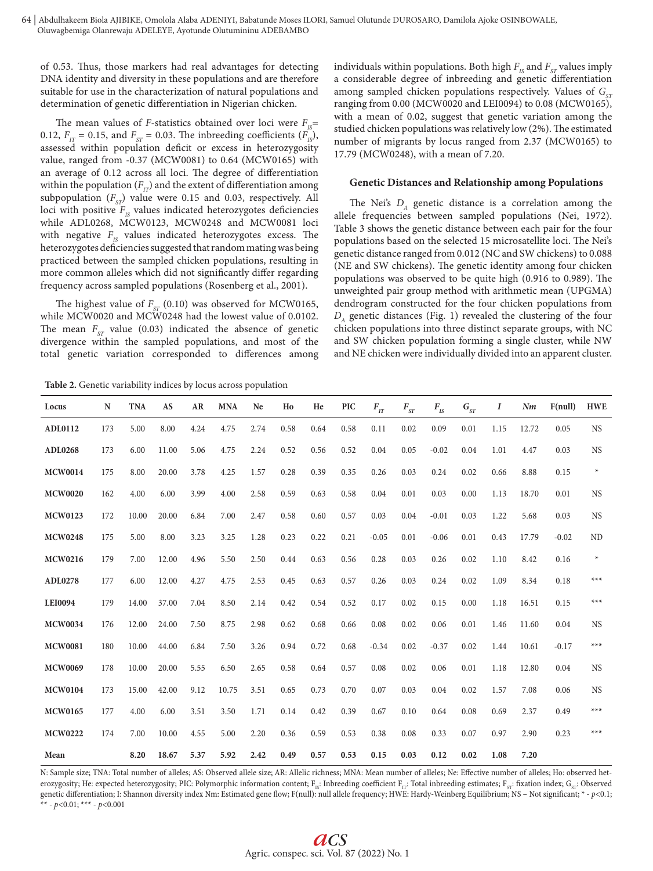of 0.53. Thus, those markers had real advantages for detecting DNA identity and diversity in these populations and are therefore suitable for use in the characterization of natural populations and determination of genetic differentiation in Nigerian chicken.

The mean values of *F*-statistics obtained over loci were  $F_{IS}$ = 0.12,  $F_{IT}$  = 0.15, and  $F_{ST}$  = 0.03. The inbreeding coefficients  $(F_{IS})$ , assessed within population deficit or excess in heterozygosity value, ranged from -0.37 (MCW0081) to 0.64 (MCW0165) with an average of 0.12 across all loci. The degree of differentiation within the population  $(F_{IT})$  and the extent of differentiation among subpopulation  $(F_{ST})$  value were 0.15 and 0.03, respectively. All loci with positive  $F_{1s}$  values indicated heterozygotes deficiencies while ADL0268, MCW0123, MCW0248 and MCW0081 loci with negative  $F_{1S}$  values indicated heterozygotes excess. The heterozygotes deficiencies suggested that random mating was being practiced between the sampled chicken populations, resulting in more common alleles which did not significantly differ regarding frequency across sampled populations (Rosenberg et al., 2001).

The highest value of  $F_{cr}$  (0.10) was observed for MCW0165, while MCW0020 and MCW0248 had the lowest value of 0.0102. The mean  $F_{ST}$  value (0.03) indicated the absence of genetic divergence within the sampled populations, and most of the total genetic variation corresponded to differences among

individuals within populations. Both high  $F_{IS}$  and  $F_{ST}$  values imply a considerable degree of inbreeding and genetic differentiation among sampled chicken populations respectively. Values of G<sub>ST</sub> ranging from 0.00 (MCW0020 and LEI0094) to 0.08 (MCW0165), with a mean of 0.02, suggest that genetic variation among the studied chicken populations was relatively low (2%). The estimated number of migrants by locus ranged from 2.37 (MCW0165) to 17.79 (MCW0248), with a mean of 7.20.

#### **Genetic Distances and Relationship among Populations**

The Nei's  $D_A$  genetic distance is a correlation among the allele frequencies between sampled populations (Nei, 1972). Table 3 shows the genetic distance between each pair for the four populations based on the selected 15 microsatellite loci. The Nei's genetic distance ranged from 0.012 (NC and SW chickens) to 0.088 (NE and SW chickens). The genetic identity among four chicken populations was observed to be quite high (0.916 to 0.989). The unweighted pair group method with arithmetic mean (UPGMA) dendrogram constructed for the four chicken populations from *DA* genetic distances (Fig. 1) revealed the clustering of the four chicken populations into three distinct separate groups, with NC and SW chicken population forming a single cluster, while NW and NE chicken were individually divided into an apparent cluster.

**Table 2.** Genetic variability indices by locus across population

| Locus          | N   | <b>TNA</b> | AS    | AR   | <b>MNA</b> | Ne   | Ho   | He   | <b>PIC</b> | $F_{IT}$ | $F_{\rm\scriptscriptstyle ST}$ | $F_{IS}$ | $G_{ST}$ | I    | Nm    | F(null) | <b>HWE</b> |
|----------------|-----|------------|-------|------|------------|------|------|------|------------|----------|--------------------------------|----------|----------|------|-------|---------|------------|
| ADL0112        | 173 | 5.00       | 8.00  | 4.24 | 4.75       | 2.74 | 0.58 | 0.64 | 0.58       | 0.11     | 0.02                           | 0.09     | 0.01     | 1.15 | 12.72 | 0.05    | <b>NS</b>  |
| <b>ADL0268</b> | 173 | 6.00       | 11.00 | 5.06 | 4.75       | 2.24 | 0.52 | 0.56 | 0.52       | 0.04     | 0.05                           | $-0.02$  | 0.04     | 1.01 | 4.47  | 0.03    | <b>NS</b>  |
| <b>MCW0014</b> | 175 | 8.00       | 20.00 | 3.78 | 4.25       | 1.57 | 0.28 | 0.39 | 0.35       | 0.26     | 0.03                           | 0.24     | 0.02     | 0.66 | 8.88  | 0.15    | $\ast$     |
| <b>MCW0020</b> | 162 | 4.00       | 6.00  | 3.99 | 4.00       | 2.58 | 0.59 | 0.63 | 0.58       | 0.04     | 0.01                           | 0.03     | 0.00     | 1.13 | 18.70 | 0.01    | <b>NS</b>  |
| <b>MCW0123</b> | 172 | 10.00      | 20.00 | 6.84 | 7.00       | 2.47 | 0.58 | 0.60 | 0.57       | 0.03     | 0.04                           | $-0.01$  | 0.03     | 1.22 | 5.68  | 0.03    | <b>NS</b>  |
| <b>MCW0248</b> | 175 | 5.00       | 8.00  | 3.23 | 3.25       | 1.28 | 0.23 | 0.22 | 0.21       | $-0.05$  | 0.01                           | $-0.06$  | 0.01     | 0.43 | 17.79 | $-0.02$ | <b>ND</b>  |
| <b>MCW0216</b> | 179 | 7.00       | 12.00 | 4.96 | 5.50       | 2.50 | 0.44 | 0.63 | 0.56       | 0.28     | 0.03                           | 0.26     | 0.02     | 1.10 | 8.42  | 0.16    | $\star$    |
| <b>ADL0278</b> | 177 | 6.00       | 12.00 | 4.27 | 4.75       | 2.53 | 0.45 | 0.63 | 0.57       | 0.26     | 0.03                           | 0.24     | 0.02     | 1.09 | 8.34  | 0.18    | $***$      |
| <b>LEI0094</b> | 179 | 14.00      | 37.00 | 7.04 | 8.50       | 2.14 | 0.42 | 0.54 | 0.52       | 0.17     | 0.02                           | 0.15     | 0.00     | 1.18 | 16.51 | 0.15    | $***$      |
| <b>MCW0034</b> | 176 | 12.00      | 24.00 | 7.50 | 8.75       | 2.98 | 0.62 | 0.68 | 0.66       | 0.08     | 0.02                           | 0.06     | 0.01     | 1.46 | 11.60 | 0.04    | <b>NS</b>  |
| <b>MCW0081</b> | 180 | 10.00      | 44.00 | 6.84 | 7.50       | 3.26 | 0.94 | 0.72 | 0.68       | $-0.34$  | 0.02                           | $-0.37$  | 0.02     | 1.44 | 10.61 | $-0.17$ | $***$      |
| <b>MCW0069</b> | 178 | 10.00      | 20.00 | 5.55 | 6.50       | 2.65 | 0.58 | 0.64 | 0.57       | 0.08     | 0.02                           | 0.06     | 0.01     | 1.18 | 12.80 | 0.04    | <b>NS</b>  |
| <b>MCW0104</b> | 173 | 15.00      | 42.00 | 9.12 | 10.75      | 3.51 | 0.65 | 0.73 | 0.70       | 0.07     | 0.03                           | 0.04     | 0.02     | 1.57 | 7.08  | 0.06    | <b>NS</b>  |
| <b>MCW0165</b> | 177 | 4.00       | 6.00  | 3.51 | 3.50       | 1.71 | 0.14 | 0.42 | 0.39       | 0.67     | 0.10                           | 0.64     | 0.08     | 0.69 | 2.37  | 0.49    | $***$      |
| <b>MCW0222</b> | 174 | 7.00       | 10.00 | 4.55 | 5.00       | 2.20 | 0.36 | 0.59 | 0.53       | 0.38     | 0.08                           | 0.33     | 0.07     | 0.97 | 2.90  | 0.23    | $***$      |
| Mean           |     | 8.20       | 18.67 | 5.37 | 5.92       | 2.42 | 0.49 | 0.57 | 0.53       | 0.15     | 0.03                           | 0.12     | 0.02     | 1.08 | 7.20  |         |            |

N: Sample size; TNA: Total number of alleles; AS: Observed allele size; AR: Allelic richness; MNA: Mean number of alleles; Ne: Effective number of alleles; Ho: observed heterozygosity; He: expected heterozygosity; PIC: Polymorphic information content; F<sub>15</sub>: Inbreeding coefficient F<sub>17</sub>: Total inbreeding estimates; F<sub>57</sub>: fixation index; G<sub>57</sub>: Observed genetic differentiation; I: Shannon diversity index Nm: Estimated gene flow; F(null): null allele frequency; HWE: Hardy-Weinberg Equilibrium; NS – Not significant; \* - *p*<0.1; \*\* - *p*<0.01; \*\*\* - *p*<0.001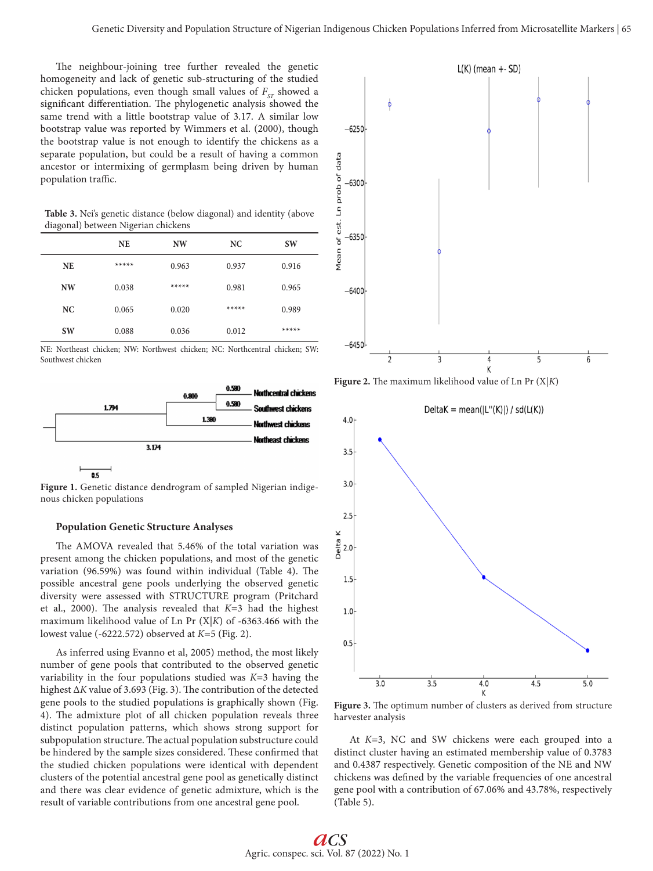The neighbour-joining tree further revealed the genetic homogeneity and lack of genetic sub-structuring of the studied chicken populations, even though small values of  $F_{ST}$  showed a significant differentiation. The phylogenetic analysis showed the same trend with a little bootstrap value of 3.17. A similar low bootstrap value was reported by Wimmers et al. (2000), though the bootstrap value is not enough to identify the chickens as a separate population, but could be a result of having a common ancestor or intermixing of germplasm being driven by human population traffic.

**Table 3.** Nei's genetic distance (below diagonal) and identity (above diagonal) between Nigerian chickens

|           | <b>NE</b> | <b>NW</b> | NC    | <b>SW</b> |
|-----------|-----------|-----------|-------|-----------|
| <b>NE</b> | *****     | 0.963     | 0.937 | 0.916     |
| <b>NW</b> | 0.038     | *****     | 0.981 | 0.965     |
| NC        | 0.065     | 0.020     | ***** | 0.989     |
| <b>SW</b> | 0.088     | 0.036     | 0.012 | *****     |

NE: Northeast chicken; NW: Northwest chicken; NC: Northcentral chicken; SW: Southwest chicken



**Figure 1.** Genetic distance dendrogram of sampled Nigerian indigenous chicken populations

#### **Population Genetic Structure Analyses**

The AMOVA revealed that 5.46% of the total variation was present among the chicken populations, and most of the genetic variation (96.59%) was found within individual (Table 4). The possible ancestral gene pools underlying the observed genetic diversity were assessed with STRUCTURE program (Pritchard et al., 2000). The analysis revealed that *K*=3 had the highest maximum likelihood value of Ln Pr (X|*K*) of -6363.466 with the lowest value (-6222.572) observed at *K*=5 (Fig. 2).

As inferred using Evanno et al, 2005) method, the most likely number of gene pools that contributed to the observed genetic variability in the four populations studied was *K*=3 having the highest Δ*K* value of 3.693 (Fig. 3). The contribution of the detected gene pools to the studied populations is graphically shown (Fig. 4). The admixture plot of all chicken population reveals three distinct population patterns, which shows strong support for subpopulation structure. The actual population substructure could be hindered by the sample sizes considered. These confirmed that the studied chicken populations were identical with dependent clusters of the potential ancestral gene pool as genetically distinct and there was clear evidence of genetic admixture, which is the result of variable contributions from one ancestral gene pool.







**Figure 3.** The optimum number of clusters as derived from structure harvester analysis

At *K*=3, NC and SW chickens were each grouped into a distinct cluster having an estimated membership value of 0.3783 and 0.4387 respectively. Genetic composition of the NE and NW chickens was defined by the variable frequencies of one ancestral gene pool with a contribution of 67.06% and 43.78%, respectively (Table 5).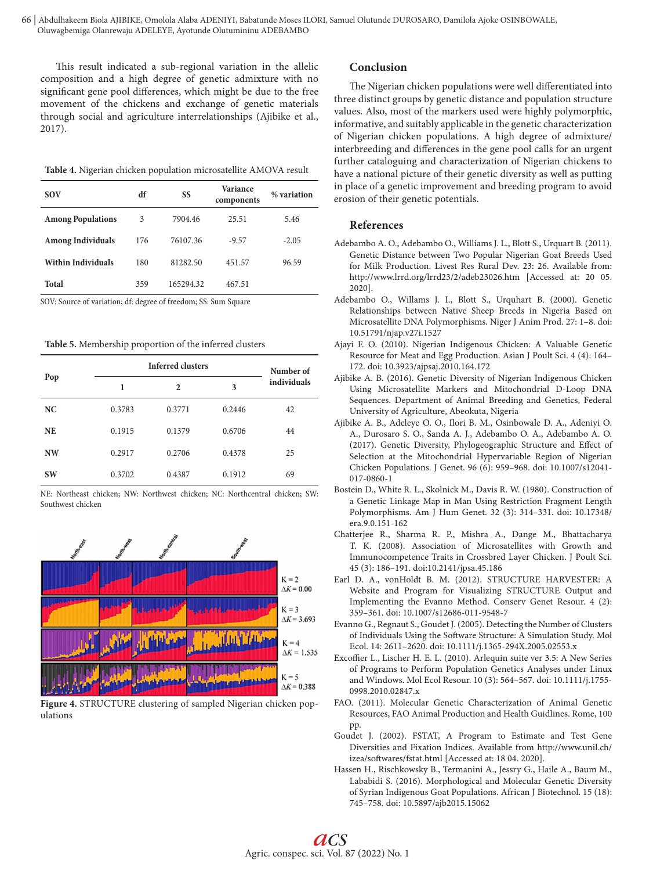This result indicated a sub-regional variation in the allelic composition and a high degree of genetic admixture with no significant gene pool differences, which might be due to the free movement of the chickens and exchange of genetic materials through social and agriculture interrelationships (Ajibike et al., 2017).

| <b>SOV</b>                | df<br>SS |           | Variance<br>components | % variation |  |
|---------------------------|----------|-----------|------------------------|-------------|--|
| <b>Among Populations</b>  | 3        | 7904.46   | 25.51                  | 5.46        |  |
| <b>Among Individuals</b>  | 176      | 76107.36  | $-9.57$                | $-2.05$     |  |
| <b>Within Individuals</b> | 180      | 81282.50  | 451.57                 | 96.59       |  |
| Total                     | 359      | 165294.32 | 467.51                 |             |  |

SOV: Source of variation; df: degree of freedom; SS: Sum Square

**Table 5.** Membership proportion of the inferred clusters

|           | <b>Inferred clusters</b> | Number of    |        |             |  |  |
|-----------|--------------------------|--------------|--------|-------------|--|--|
| Pop       | 1                        | $\mathbf{2}$ | 3      | individuals |  |  |
| NC        | 0.3783                   | 0.3771       | 0.2446 | 42          |  |  |
| <b>NE</b> | 0.1915                   | 0.1379       | 0.6706 | 44          |  |  |
| <b>NW</b> | 0.2917                   | 0.2706       | 0.4378 | 25          |  |  |
| <b>SW</b> | 0.3702                   | 0.4387       | 0.1912 | 69          |  |  |

NE: Northeast chicken; NW: Northwest chicken; NC: Northcentral chicken; SW: Southwest chicken



**Figure 4.** STRUCTURE clustering of sampled Nigerian chicken populations

## **Conclusion**

The Nigerian chicken populations were well differentiated into three distinct groups by genetic distance and population structure values. Also, most of the markers used were highly polymorphic, informative, and suitably applicable in the genetic characterization of Nigerian chicken populations. A high degree of admixture/ interbreeding and differences in the gene pool calls for an urgent further cataloguing and characterization of Nigerian chickens to have a national picture of their genetic diversity as well as putting in place of a genetic improvement and breeding program to avoid erosion of their genetic potentials.

## **References**

- Adebambo A. O., Adebambo O., Williams J. L., Blott S., Urquart B. (2011). Genetic Distance between Two Popular Nigerian Goat Breeds Used for Milk Production. Livest Res Rural Dev. 23: 26. Available from: http://www.lrrd.org/lrrd23/2/adeb23026.htm [Accessed at: 20 05. 2020].
- Adebambo O., Willams J. I., Blott S., Urquhart B. (2000). Genetic Relationships between Native Sheep Breeds in Nigeria Based on Microsatellite DNA Polymorphisms. Niger J Anim Prod. 27: 1–8. doi: 10.51791/njap.v27i.1527
- Ajayi F. O. (2010). Nigerian Indigenous Chicken: A Valuable Genetic Resource for Meat and Egg Production. Asian J Poult Sci. 4 (4): 164– 172. doi: 10.3923/ajpsaj.2010.164.172
- Ajibike A. B. (2016). Genetic Diversity of Nigerian Indigenous Chicken Using Microsatellite Markers and Mitochondrial D-Loop DNA Sequences. Department of Animal Breeding and Genetics, Federal University of Agriculture, Abeokuta, Nigeria
- Ajibike A. B., Adeleye O. O., Ilori B. M., Osinbowale D. A., Adeniyi O. A., Durosaro S. O., Sanda A. J., Adebambo O. A., Adebambo A. O. (2017). Genetic Diversity, Phylogeographic Structure and Effect of Selection at the Mitochondrial Hypervariable Region of Nigerian Chicken Populations. J Genet. 96 (6): 959–968. doi: 10.1007/s12041- 017-0860-1
- Bostein D., White R. L., Skolnick M., Davis R. W. (1980). Construction of a Genetic Linkage Map in Man Using Restriction Fragment Length Polymorphisms. Am J Hum Genet. 32 (3): 314–331. doi: 10.17348/ era.9.0.151-162
- Chatterjee R., Sharma R. P., Mishra A., Dange M., Bhattacharya T. K. (2008). Association of Microsatellites with Growth and Immunocompetence Traits in Crossbred Layer Chicken. J Poult Sci. 45 (3): 186–191. doi:10.2141/jpsa.45.186
- Earl D. A., vonHoldt B. M. (2012). STRUCTURE HARVESTER: A Website and Program for Visualizing STRUCTURE Output and Implementing the Evanno Method. Conserv Genet Resour. 4 (2): 359–361. doi: 10.1007/s12686-011-9548-7
- Evanno G., Regnaut S., Goudet J. (2005). Detecting the Number of Clusters of Individuals Using the Software Structure: A Simulation Study. Mol Ecol. 14: 2611–2620. doi: 10.1111/j.1365-294X.2005.02553.x
- Excoffier L., Lischer H. E. L. (2010). Arlequin suite ver 3.5: A New Series of Programs to Perform Population Genetics Analyses under Linux and Windows. Mol Ecol Resour. 10 (3): 564–567. doi: 10.1111/j.1755- 0998.2010.02847.x
- FAO. (2011). Molecular Genetic Characterization of Animal Genetic Resources, FAO Animal Production and Health Guidlines. Rome, 100 pp.
- Goudet J. (2002). FSTAT, A Program to Estimate and Test Gene Diversities and Fixation Indices. Available from http://www.unil.ch/ izea/softwares/fstat.html [Accessed at: 18 04. 2020].
- Hassen H., Rischkowsky B., Termanini A., Jessry G., Haile A., Baum M., Lababidi S. (2016). Morphological and Molecular Genetic Diversity of Syrian Indigenous Goat Populations. African J Biotechnol. 15 (18): 745–758. doi: 10.5897/ajb2015.15062